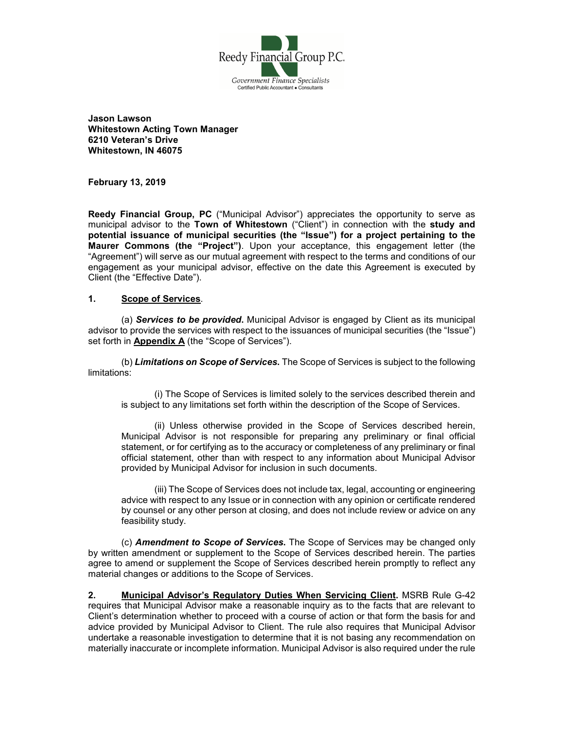

**Jason Lawson Whitestown Acting Town Manager 6210 Veteran's Drive Whitestown, IN 46075**

**February 13, 2019**

**Reedy Financial Group, PC** ("Municipal Advisor") appreciates the opportunity to serve as municipal advisor to the **Town of Whitestown** ("Client") in connection with the **study and potential issuance of municipal securities (the "Issue") for a project pertaining to the Maurer Commons (the "Project")**. Upon your acceptance, this engagement letter (the "Agreement") will serve as our mutual agreement with respect to the terms and conditions of our engagement as your municipal advisor, effective on the date this Agreement is executed by Client (the "Effective Date").

## **1. Scope of Services**.

(a) *Services to be provided***.** Municipal Advisor is engaged by Client as its municipal advisor to provide the services with respect to the issuances of municipal securities (the "Issue") set forth in **Appendix A** (the "Scope of Services").

(b) *Limitations on Scope of Services***.** The Scope of Services is subject to the following limitations:

(i) The Scope of Services is limited solely to the services described therein and is subject to any limitations set forth within the description of the Scope of Services.

(ii) Unless otherwise provided in the Scope of Services described herein, Municipal Advisor is not responsible for preparing any preliminary or final official statement, or for certifying as to the accuracy or completeness of any preliminary or final official statement, other than with respect to any information about Municipal Advisor provided by Municipal Advisor for inclusion in such documents.

(iii) The Scope of Services does not include tax, legal, accounting or engineering advice with respect to any Issue or in connection with any opinion or certificate rendered by counsel or any other person at closing, and does not include review or advice on any feasibility study.

(c) *Amendment to Scope of Services***.** The Scope of Services may be changed only by written amendment or supplement to the Scope of Services described herein. The parties agree to amend or supplement the Scope of Services described herein promptly to reflect any material changes or additions to the Scope of Services.

**2. Municipal Advisor's Regulatory Duties When Servicing Client.** MSRB Rule G-42 requires that Municipal Advisor make a reasonable inquiry as to the facts that are relevant to Client's determination whether to proceed with a course of action or that form the basis for and advice provided by Municipal Advisor to Client. The rule also requires that Municipal Advisor undertake a reasonable investigation to determine that it is not basing any recommendation on materially inaccurate or incomplete information. Municipal Advisor is also required under the rule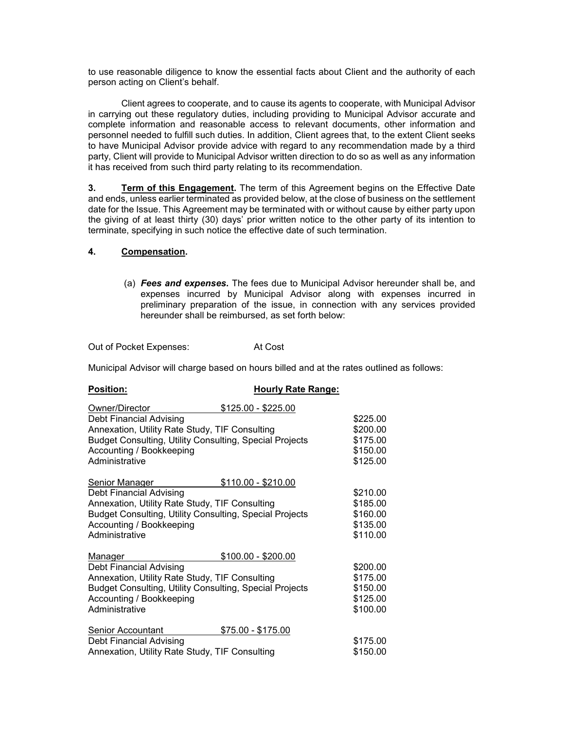to use reasonable diligence to know the essential facts about Client and the authority of each person acting on Client's behalf.

Client agrees to cooperate, and to cause its agents to cooperate, with Municipal Advisor in carrying out these regulatory duties, including providing to Municipal Advisor accurate and complete information and reasonable access to relevant documents, other information and personnel needed to fulfill such duties. In addition, Client agrees that, to the extent Client seeks to have Municipal Advisor provide advice with regard to any recommendation made by a third party, Client will provide to Municipal Advisor written direction to do so as well as any information it has received from such third party relating to its recommendation.

**3. Term of this Engagement.** The term of this Agreement begins on the Effective Date and ends, unless earlier terminated as provided below, at the close of business on the settlement date for the Issue. This Agreement may be terminated with or without cause by either party upon the giving of at least thirty (30) days' prior written notice to the other party of its intention to terminate, specifying in such notice the effective date of such termination.

## **4. Compensation.**

(a) *Fees and expenses***.** The fees due to Municipal Advisor hereunder shall be, and expenses incurred by Municipal Advisor along with expenses incurred in preliminary preparation of the issue, in connection with any services provided hereunder shall be reimbursed, as set forth below:

Out of Pocket Expenses: At Cost

**Position: Hourly Rate Range:**

Municipal Advisor will charge based on hours billed and at the rates outlined as follows:

| -------                                                 |                     |          |
|---------------------------------------------------------|---------------------|----------|
| Owner/Director                                          | \$125.00 - \$225.00 |          |
| Debt Financial Advising                                 |                     | \$225.00 |
| Annexation, Utility Rate Study, TIF Consulting          |                     | \$200.00 |
| Budget Consulting, Utility Consulting, Special Projects |                     | \$175.00 |
| Accounting / Bookkeeping                                |                     | \$150.00 |
| Administrative                                          |                     | \$125.00 |
| Senior Manager                                          | $$110.00 - $210.00$ |          |
| Debt Financial Advising                                 |                     | \$210.00 |
| Annexation, Utility Rate Study, TIF Consulting          |                     | \$185.00 |
| Budget Consulting, Utility Consulting, Special Projects |                     | \$160.00 |
| Accounting / Bookkeeping                                |                     | \$135.00 |
| Administrative                                          |                     | \$110.00 |
| <b>Manager</b>                                          | $$100.00 - $200.00$ |          |
| Debt Financial Advising                                 |                     | \$200.00 |
| Annexation, Utility Rate Study, TIF Consulting          |                     | \$175.00 |
| Budget Consulting, Utility Consulting, Special Projects |                     | \$150.00 |
| Accounting / Bookkeeping                                |                     | \$125.00 |
| Administrative                                          |                     | \$100.00 |
| Senior Accountant                                       | $$75.00 - $175.00$  |          |
| <b>Debt Financial Advising</b>                          |                     | \$175.00 |
| Annexation, Utility Rate Study, TIF Consulting          |                     | \$150.00 |
|                                                         |                     |          |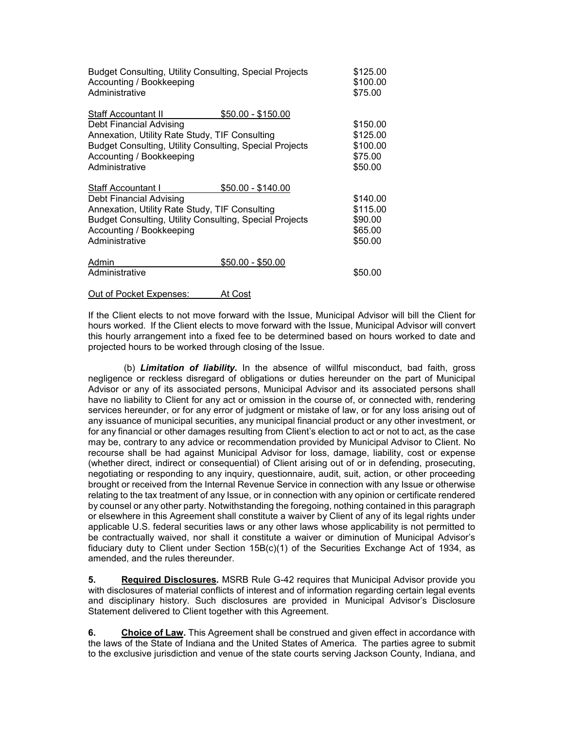| <b>Budget Consulting, Utility Consulting, Special Projects</b><br>Accounting / Bookkeeping<br>Administrative                                                                                                                           | \$125.00<br>\$100.00<br>\$75.00                        |
|----------------------------------------------------------------------------------------------------------------------------------------------------------------------------------------------------------------------------------------|--------------------------------------------------------|
| <b>Staff Accountant II</b><br>$$50.00 - $150.00$<br>Debt Financial Advising<br>Annexation, Utility Rate Study, TIF Consulting<br>Budget Consulting, Utility Consulting, Special Projects<br>Accounting / Bookkeeping<br>Administrative | \$150.00<br>\$125.00<br>\$100.00<br>\$75.00<br>\$50.00 |
| <b>Staff Accountant I</b><br>$$50.00 - $140.00$<br>Debt Financial Advising<br>Annexation, Utility Rate Study, TIF Consulting<br>Budget Consulting, Utility Consulting, Special Projects<br>Accounting / Bookkeeping<br>Administrative  | \$140.00<br>\$115.00<br>\$90.00<br>\$65.00<br>\$50.00  |
| \$50.00 - \$50.00<br>Admin<br>Administrative                                                                                                                                                                                           | \$50.00                                                |

#### Out of Pocket Expenses: At Cost

If the Client elects to not move forward with the Issue, Municipal Advisor will bill the Client for hours worked. If the Client elects to move forward with the Issue, Municipal Advisor will convert this hourly arrangement into a fixed fee to be determined based on hours worked to date and projected hours to be worked through closing of the Issue.

(b) *Limitation of liability***.** In the absence of willful misconduct, bad faith, gross negligence or reckless disregard of obligations or duties hereunder on the part of Municipal Advisor or any of its associated persons, Municipal Advisor and its associated persons shall have no liability to Client for any act or omission in the course of, or connected with, rendering services hereunder, or for any error of judgment or mistake of law, or for any loss arising out of any issuance of municipal securities, any municipal financial product or any other investment, or for any financial or other damages resulting from Client's election to act or not to act, as the case may be, contrary to any advice or recommendation provided by Municipal Advisor to Client. No recourse shall be had against Municipal Advisor for loss, damage, liability, cost or expense (whether direct, indirect or consequential) of Client arising out of or in defending, prosecuting, negotiating or responding to any inquiry, questionnaire, audit, suit, action, or other proceeding brought or received from the Internal Revenue Service in connection with any Issue or otherwise relating to the tax treatment of any Issue, or in connection with any opinion or certificate rendered by counsel or any other party. Notwithstanding the foregoing, nothing contained in this paragraph or elsewhere in this Agreement shall constitute a waiver by Client of any of its legal rights under applicable U.S. federal securities laws or any other laws whose applicability is not permitted to be contractually waived, nor shall it constitute a waiver or diminution of Municipal Advisor's fiduciary duty to Client under Section 15B(c)(1) of the Securities Exchange Act of 1934, as amended, and the rules thereunder.

**5. Required Disclosures.** MSRB Rule G-42 requires that Municipal Advisor provide you with disclosures of material conflicts of interest and of information regarding certain legal events and disciplinary history. Such disclosures are provided in Municipal Advisor's Disclosure Statement delivered to Client together with this Agreement.

**6. Choice of Law.** This Agreement shall be construed and given effect in accordance with the laws of the State of Indiana and the United States of America. The parties agree to submit to the exclusive jurisdiction and venue of the state courts serving Jackson County, Indiana, and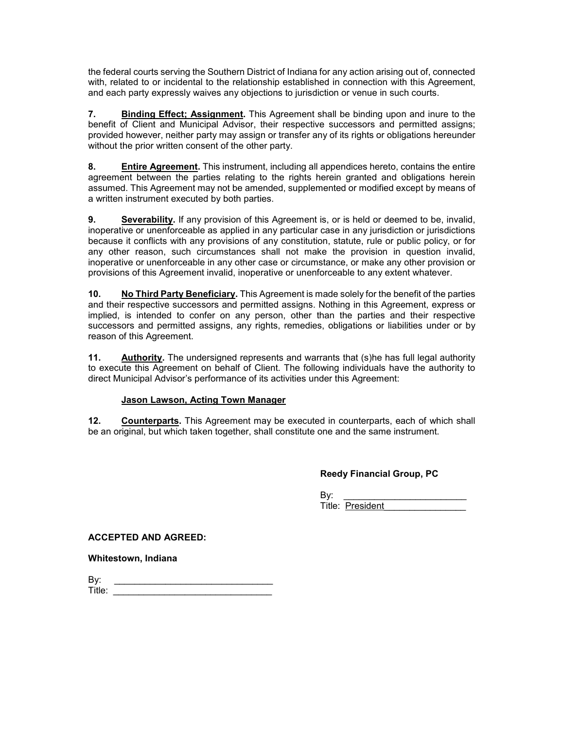the federal courts serving the Southern District of Indiana for any action arising out of, connected with, related to or incidental to the relationship established in connection with this Agreement, and each party expressly waives any objections to jurisdiction or venue in such courts.

**7. Binding Effect; Assignment.** This Agreement shall be binding upon and inure to the benefit of Client and Municipal Advisor, their respective successors and permitted assigns; provided however, neither party may assign or transfer any of its rights or obligations hereunder without the prior written consent of the other party.

**8. Entire Agreement.** This instrument, including all appendices hereto, contains the entire agreement between the parties relating to the rights herein granted and obligations herein assumed. This Agreement may not be amended, supplemented or modified except by means of a written instrument executed by both parties.

**9. Severability.** If any provision of this Agreement is, or is held or deemed to be, invalid, inoperative or unenforceable as applied in any particular case in any jurisdiction or jurisdictions because it conflicts with any provisions of any constitution, statute, rule or public policy, or for any other reason, such circumstances shall not make the provision in question invalid, inoperative or unenforceable in any other case or circumstance, or make any other provision or provisions of this Agreement invalid, inoperative or unenforceable to any extent whatever.

**10. No Third Party Beneficiary.** This Agreement is made solely for the benefit of the parties and their respective successors and permitted assigns. Nothing in this Agreement, express or implied, is intended to confer on any person, other than the parties and their respective successors and permitted assigns, any rights, remedies, obligations or liabilities under or by reason of this Agreement.

**11. Authority.** The undersigned represents and warrants that (s)he has full legal authority to execute this Agreement on behalf of Client. The following individuals have the authority to direct Municipal Advisor's performance of its activities under this Agreement:

# **Jason Lawson, Acting Town Manager**

**12. Counterparts.** This Agreement may be executed in counterparts, each of which shall be an original, but which taken together, shall constitute one and the same instrument.

**Reedy Financial Group, PC**

By: \_\_\_\_\_\_\_\_\_\_\_\_\_\_\_\_\_\_\_\_\_\_\_\_ Title: President\_\_\_\_\_\_\_\_\_\_\_\_\_\_\_\_

**ACCEPTED AND AGREED:**

**Whitestown, Indiana**

| By:                |  |
|--------------------|--|
| Title <sup>.</sup> |  |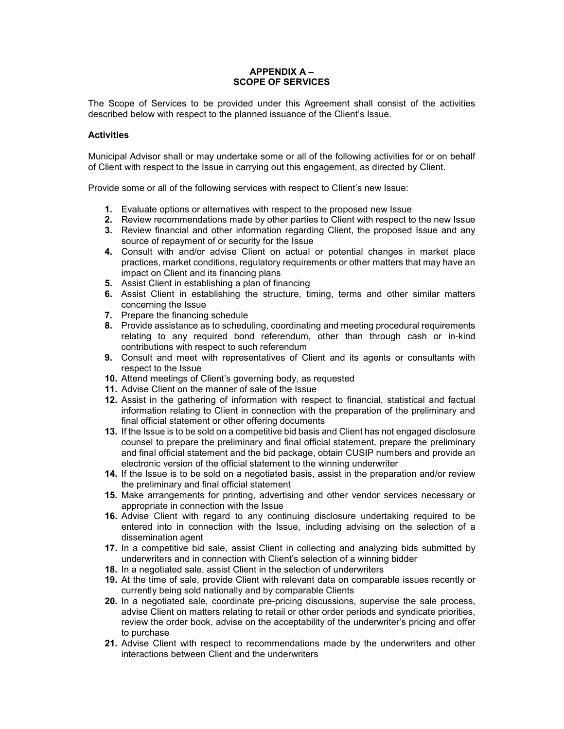## **APPENDIX A – SCOPE OF SERVICES**

The Scope of Services to be provided under this Agreement shall consist of the activities described below with respect to the planned issuance of the Client's Issue.

### **Activities**

Municipal Advisor shall or may undertake some or all of the following activities for or on behalf of Client with respect to the Issue in carrying out this engagement, as directed by Client.

Provide some or all of the following services with respect to Client's new Issue:

- **1.** Evaluate options or alternatives with respect to the proposed new Issue
- **2.** Review recommendations made by other parties to Client with respect to the new Issue
- **3.** Review financial and other information regarding Client, the proposed Issue and any source of repayment of or security for the Issue
- **4.** Consult with and/or advise Client on actual or potential changes in market place practices, market conditions, regulatory requirements or other matters that may have an impact on Client and its financing plans
- **5.** Assist Client in establishing a plan of financing
- **6.** Assist Client in establishing the structure, timing, terms and other similar matters concerning the Issue
- **7.** Prepare the financing schedule
- **8.** Provide assistance as to scheduling, coordinating and meeting procedural requirements relating to any required bond referendum, other than through cash or in-kind contributions with respect to such referendum
- **9.** Consult and meet with representatives of Client and its agents or consultants with respect to the Issue
- **10.** Attend meetings of Client's governing body, as requested
- **11.** Advise Client on the manner of sale of the Issue
- **12.** Assist in the gathering of information with respect to financial, statistical and factual information relating to Client in connection with the preparation of the preliminary and final official statement or other offering documents
- **13.** If the Issue is to be sold on a competitive bid basis and Client has not engaged disclosure counsel to prepare the preliminary and final official statement, prepare the preliminary and final official statement and the bid package, obtain CUSIP numbers and provide an electronic version of the official statement to the winning underwriter
- **14.** If the Issue is to be sold on a negotiated basis, assist in the preparation and/or review the preliminary and final official statement
- **15.** Make arrangements for printing, advertising and other vendor services necessary or appropriate in connection with the Issue
- **16.** Advise Client with regard to any continuing disclosure undertaking required to be entered into in connection with the Issue, including advising on the selection of a dissemination agent
- **17.** In a competitive bid sale, assist Client in collecting and analyzing bids submitted by underwriters and in connection with Client's selection of a winning bidder
- **18.** In a negotiated sale, assist Client in the selection of underwriters
- **19.** At the time of sale, provide Client with relevant data on comparable issues recently or currently being sold nationally and by comparable Clients
- **20.** In a negotiated sale, coordinate pre-pricing discussions, supervise the sale process, advise Client on matters relating to retail or other order periods and syndicate priorities, review the order book, advise on the acceptability of the underwriter's pricing and offer to purchase
- **21.** Advise Client with respect to recommendations made by the underwriters and other interactions between Client and the underwriters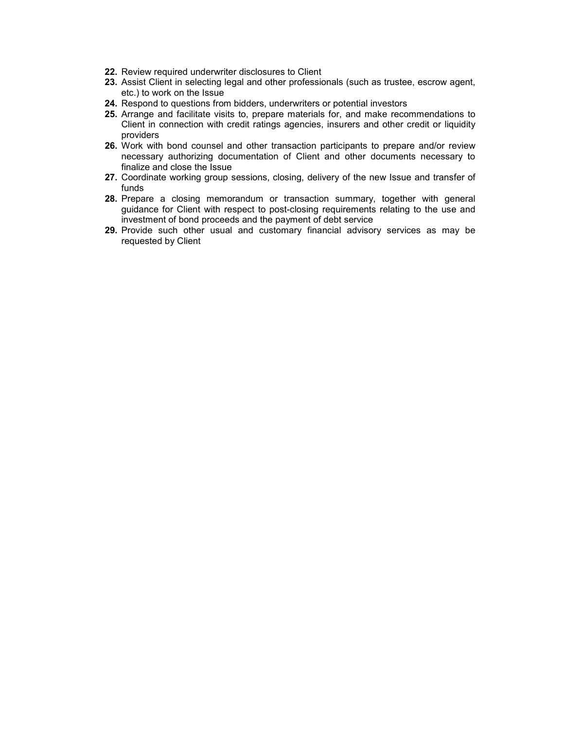- **22.** Review required underwriter disclosures to Client
- **23.** Assist Client in selecting legal and other professionals (such as trustee, escrow agent, etc.) to work on the Issue
- **24.** Respond to questions from bidders, underwriters or potential investors
- **25.** Arrange and facilitate visits to, prepare materials for, and make recommendations to Client in connection with credit ratings agencies, insurers and other credit or liquidity providers
- **26.** Work with bond counsel and other transaction participants to prepare and/or review necessary authorizing documentation of Client and other documents necessary to finalize and close the Issue
- **27.** Coordinate working group sessions, closing, delivery of the new Issue and transfer of funds
- **28.** Prepare a closing memorandum or transaction summary, together with general guidance for Client with respect to post-closing requirements relating to the use and investment of bond proceeds and the payment of debt service
- **29.** Provide such other usual and customary financial advisory services as may be requested by Client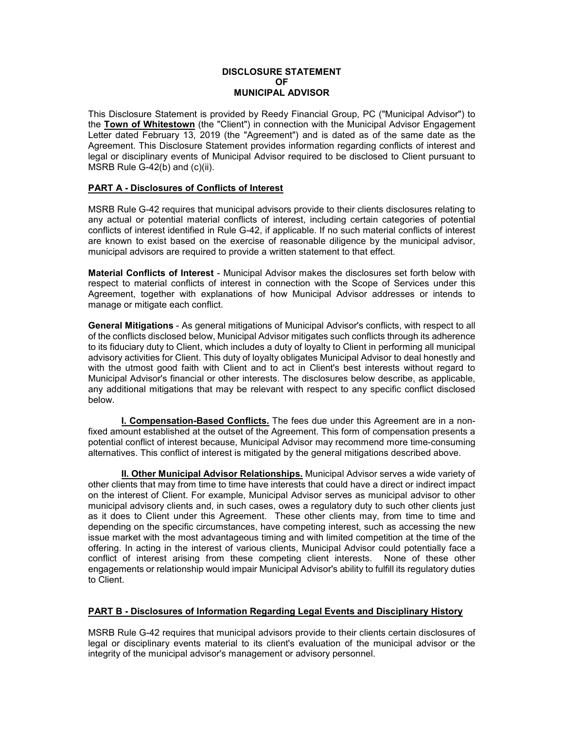#### **DISCLOSURE STATEMENT OF MUNICIPAL ADVISOR**

This Disclosure Statement is provided by Reedy Financial Group, PC ("Municipal Advisor") to the **Town of Whitestown** (the "Client") in connection with the Municipal Advisor Engagement Letter dated February 13, 2019 (the "Agreement") and is dated as of the same date as the Agreement. This Disclosure Statement provides information regarding conflicts of interest and legal or disciplinary events of Municipal Advisor required to be disclosed to Client pursuant to MSRB Rule G-42(b) and (c)(ii).

### **PART A - Disclosures of Conflicts of Interest**

MSRB Rule G-42 requires that municipal advisors provide to their clients disclosures relating to any actual or potential material conflicts of interest, including certain categories of potential conflicts of interest identified in Rule G-42, if applicable. If no such material conflicts of interest are known to exist based on the exercise of reasonable diligence by the municipal advisor, municipal advisors are required to provide a written statement to that effect.

**Material Conflicts of Interest** - Municipal Advisor makes the disclosures set forth below with respect to material conflicts of interest in connection with the Scope of Services under this Agreement, together with explanations of how Municipal Advisor addresses or intends to manage or mitigate each conflict.

**General Mitigations** - As general mitigations of Municipal Advisor's conflicts, with respect to all of the conflicts disclosed below, Municipal Advisor mitigates such conflicts through its adherence to its fiduciary duty to Client, which includes a duty of loyalty to Client in performing all municipal advisory activities for Client. This duty of loyalty obligates Municipal Advisor to deal honestly and with the utmost good faith with Client and to act in Client's best interests without regard to Municipal Advisor's financial or other interests. The disclosures below describe, as applicable, any additional mitigations that may be relevant with respect to any specific conflict disclosed below.

**I. Compensation-Based Conflicts.** The fees due under this Agreement are in a nonfixed amount established at the outset of the Agreement. This form of compensation presents a potential conflict of interest because, Municipal Advisor may recommend more time-consuming alternatives. This conflict of interest is mitigated by the general mitigations described above.

**II. Other Municipal Advisor Relationships.** Municipal Advisor serves a wide variety of other clients that may from time to time have interests that could have a direct or indirect impact on the interest of Client. For example, Municipal Advisor serves as municipal advisor to other municipal advisory clients and, in such cases, owes a regulatory duty to such other clients just as it does to Client under this Agreement. These other clients may, from time to time and depending on the specific circumstances, have competing interest, such as accessing the new issue market with the most advantageous timing and with limited competition at the time of the offering. In acting in the interest of various clients, Municipal Advisor could potentially face a conflict of interest arising from these competing client interests. None of these other engagements or relationship would impair Municipal Advisor's ability to fulfill its regulatory duties to Client.

# **PART B - Disclosures of Information Regarding Legal Events and Disciplinary History**

MSRB Rule G-42 requires that municipal advisors provide to their clients certain disclosures of legal or disciplinary events material to its client's evaluation of the municipal advisor or the integrity of the municipal advisor's management or advisory personnel.